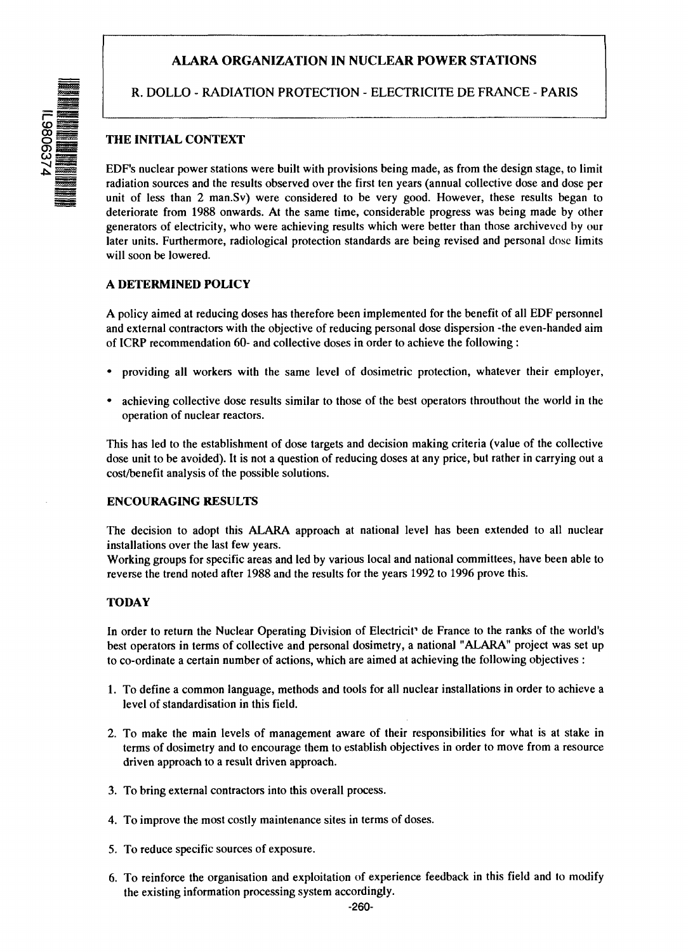# **ALARA ORGANIZATION IN NUCLEAR POWER STATIONS**

3 &

R. DOLLO - RADIATION PROTECTION - ELECTRICITE DE FRANCE - PARIS

# **THE INITIAL CONTEXT**

EDF's nuclear power stations were built with provisions being made, as from the design stage, to limit radiation sources and the results observed over the first ten years (annual collective dose and dose per unit of less than 2 man.Sv) were considered to be very good. However, these results began to deteriorate from 1988 onwards. At the same time, considerable progress was being made by other generators of electricity, who were achieving results which were better than those archiveved by our later units. Furthermore, radiological protection standards are being revised and personal dose limits will soon be lowered.

#### **A DETERMINED POLICY**

A policy aimed at reducing doses has therefore been implemented for the benefit of all EDF personnel and external contractors with the objective of reducing personal dose dispersion -the even-handed aim of ICRP recommendation 60- and collective doses in order to achieve the following:

- providing all workers with the same level of dosimetric protection, whatever their employer,
- achieving collective dose results similar to those of the best operators throuthout the world in the operation of nuclear reactors.

This has led to the establishment of dose targets and decision making criteria (value of the collective dose unit to be avoided). It is not a question of reducing doses at any price, but rather in carrying out a cost/benefit analysis of the possible solutions.

#### **ENCOURAGING RESULTS**

The decision to adopt this ALARA approach at national level has been extended to all nuclear installations over the last few years.

Working groups for specific areas and led by various local and national committees, have been able to reverse the trend noted after 1988 and the results for the years 1992 to 1996 prove this.

## **TODAY**

In order to return the Nuclear Operating Division of Electricit<sup>1</sup> de France to the ranks of the world's best operators in terms of collective and personal dosimetry, a national "ALARA" project was set up to co-ordinate a certain number of actions, which are aimed at achieving the following objectives :

- 1. To define a common language, methods and tools for all nuclear installations in order to achieve a level of standardisation in this field.
- 2. To make the main levels of management aware of their responsibilities for what is at stake in terms of dosimetry and to encourage them to establish objectives in order to move from a resource driven approach to a result driven approach.
- 3. To bring external contractors into this overall process.
- 4. To improve the most costly maintenance sites in terms of doses.
- 5. To reduce specific sources of exposure.
- 6. To reinforce the organisation and exploitation of experience feedback in this field and to modify the existing information processing system accordingly.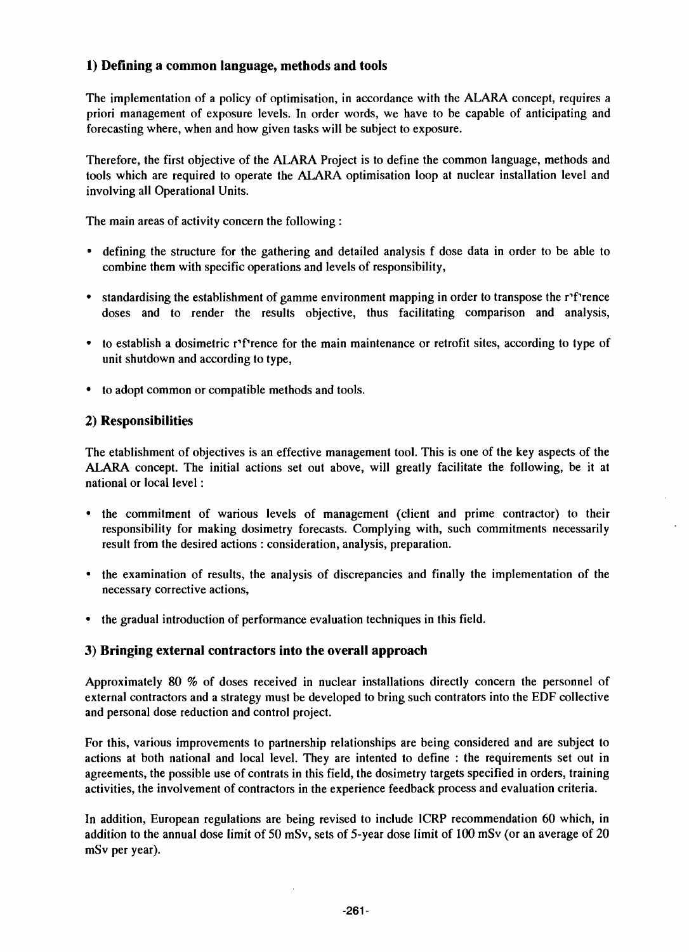# **1) Defining a common language, methods and tools**

The implementation of a policy of optimisation, in accordance with the ALARA concept, requires a priori management of exposure levels. In order words, we have to be capable of anticipating and forecasting where, when and how given tasks will be subject to exposure.

Therefore, the first objective of the ALARA Project is to define the common language, methods and tools which are required to operate the ALARA optimisation loop at nuclear installation level and involving all Operational Units.

The main areas of activity concern the following :

- defining the structure for the gathering and detailed analysis f dose data in order to be able to combine them with specific operations and levels of responsibility,
- standardising the establishment of gamme environment mapping in order to transpose the r<sup>1</sup> rence doses and to render the results objective, thus facilitating comparison and analysis,
- to establish a dosimetric r<sup>1</sup> rence for the main maintenance or retrofit sites, according to type of unit shutdown and according to type,
- to adopt common or compatible methods and tools.

## **2) Responsibilities**

The etablishment of objectives is an effective management tool. This is one of the key aspects of the ALARA concept. The initial actions set out above, will greatly facilitate the following, be it at national or local level:

- the commitment of warious levels of management (client and prime contractor) to their responsibility for making dosimetry forecasts. Complying with, such commitments necessarily result from the desired actions : consideration, analysis, preparation.
- the examination of results, the analysis of discrepancies and finally the implementation of the necessary corrective actions,
- the gradual introduction of performance evaluation techniques in this field.

## **3) Bringing external contractors into the overall approach**

Approximately 80 % of doses received in nuclear installations directly concern the personnel of external contractors and a strategy must be developed to bring such contrators into the EDF collective and personal dose reduction and control project.

For this, various improvements to partnership relationships are being considered and are subject to actions at both national and local level. They are intented to define : the requirements set out in agreements, the possible use of contrats in this field, the dosimetry targets specified in orders, training activities, the involvement of contractors in the experience feedback process and evaluation criteria.

In addition, European regulations are being revised to include ICRP recommendation 60 which, in addition to the annual dose limit of 50 mSv, sets of 5-year dose limit of 100 mSv (or an average of 20 mSv per year).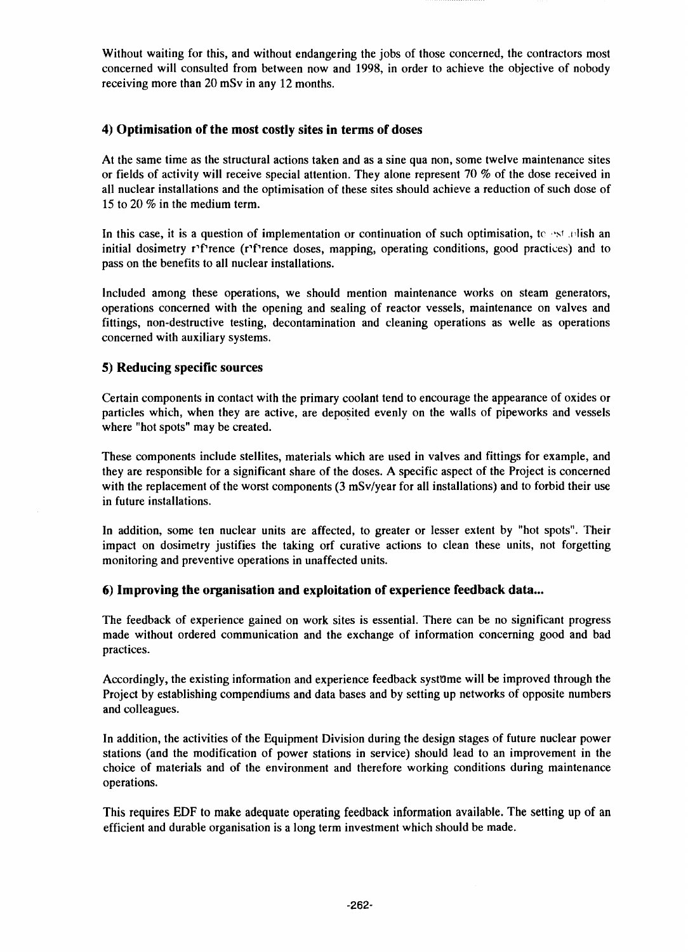Without waiting for this, and without endangering the jobs of those concerned, the contractors most concerned will consulted from between now and 1998, in order to achieve the objective of nobody receiving more than 20 mSv in any 12 months.

#### **4) Optimisation of the most costly sites in terms of doses**

At the same time as the structural actions taken and as a sine qua non, some twelve maintenance sites or fields of activity will receive special attention. They alone represent 70 % of the dose received in all nuclear installations and the optimisation of these sites should achieve a reduction of such dose of 15 to 20 *%* in the medium term.

In this case, it is a question of implementation or continuation of such optimisation, to est telish an initial dosimetry rPrence (rPrence doses, mapping, operating conditions, good practices) and to pass on the benefits to all nuclear installations.

Included among these operations, we should mention maintenance works on steam generators, operations concerned with the opening and sealing of reactor vessels, maintenance on valves and fittings, non-destructive testing, decontamination and cleaning operations as welle as operations concerned with auxiliary systems.

#### **5) Reducing specific sources**

Certain components in contact with the primary coolant tend to encourage the appearance of oxides or particles which, when they are active, are deposited evenly on the walls of pipeworks and vessels where "hot spots" may be created.

These components include stellites, materials which are used in valves and fittings for example, and they are responsible for a significant share of the doses. A specific aspect of the Project is concerned with the replacement of the worst components (3 mSv/year for all installations) and to forbid their use in future installations.

In addition, some ten nuclear units are affected, to greater or lesser extent by "hot spots". Their impact on dosimetry justifies the taking orf curative actions to clean these units, not forgetting monitoring and preventive operations in unaffected units.

## **6) Improving the organisation and exploitation of experience feedback data...**

The feedback of experience gained on work sites is essential. There can be no significant progress made without ordered communication and the exchange of information concerning good and bad practices.

Accordingly, the existing information and experience feedback syst0me will be improved through the Project by establishing compendiums and data bases and by setting up networks of opposite numbers and colleagues.

In addition, the activities of the Equipment Division during the design stages of future nuclear power stations (and the modification of power stations in service) should lead to an improvement in the choice of materials and of the environment and therefore working conditions during maintenance operations.

This requires EDF to make adequate operating feedback information available. The setting up of an efficient and durable organisation is a long term investment which should be made.